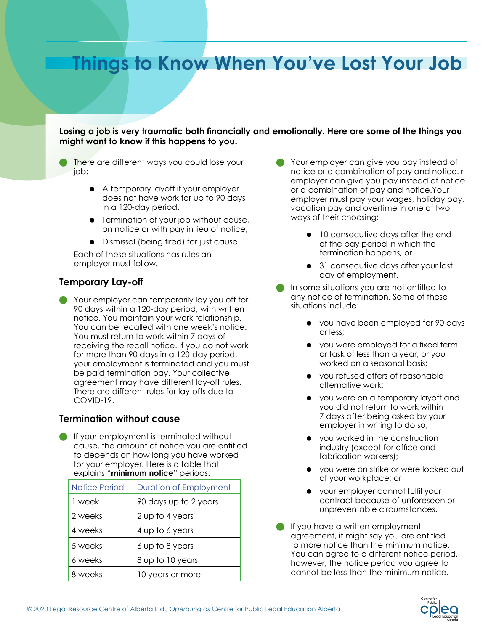# **Things to Know When You've Lost Your Job**

**Losing a job is very traumatic both financially and emotionally. Here are some of the things you might want to know if this happens to you.**

- There are different ways you could lose your job:
	- A temporary layoff if your employer does not have work for up to 90 days in a 120-day period.
	- **•** Termination of your job without cause, on notice or with pay in lieu of notice;
	- Dismissal (being fired) for just cause.

Each of these situations has rules an employer must follow.

### **Temporary Lay-off**

 Your employer can temporarily lay you off for 90 days within a 120-day period, with written notice. You maintain your work relationship. You can be recalled with one week's notice. You must return to work within 7 days of receiving the recall notice. If you do not work for more than 90 days in a 120-day period, your employment is terminated and you must be paid termination pay. Your collective agreement may have different lay-off rules. There are different rules for lay-offs due to COVID-19.

### **Termination without cause**

 If your employment is terminated without cause, the amount of notice you are entitled to depends on how long you have worked for your employer. Here is a table that explains "**minimum notice**" periods:

| Notice Period | <b>Duration of Employment</b> |
|---------------|-------------------------------|
| 1 week        | 90 days up to 2 years         |
| 2 weeks       | 2 up to 4 years               |
| 4 weeks       | 4 up to 6 years               |
| 5 weeks       | 6 up to 8 years               |
| 6 weeks       | 8 up to 10 years              |
| 8 weeks       | 10 years or more              |

- Your employer can give you pay instead of notice or a combination of pay and notice. r employer can give you pay instead of notice or a combination of pay and notice.Your employer must pay your wages, holiday pay, vacation pay and overtime in one of two ways of their choosing:
	- $\bullet$  10 consecutive days after the end of the pay period in which the termination happens, or
	- 31 consecutive days after your last day of employment.
- In some situations you are not entitled to any notice of termination. Some of these situations include:
	- you have been employed for 90 days or less;
	- you were employed for a fixed term or task of less than a year, or you worked on a seasonal basis;
	- you refused offers of reasonable alternative work;
	- you were on a temporary layoff and you did not return to work within 7 days after being asked by your employer in writing to do so;
	- you worked in the construction industry (except for office and fabrication workers);
	- you were on strike or were locked out of your workplace; or
	- your employer cannot fulfil your contract because of unforeseen or unpreventable circumstances.
- If you have a written employment agreement, it might say you are entitled to more notice than the minimum notice. You can agree to a different notice period, however, the notice period you agree to cannot be less than the minimum notice.